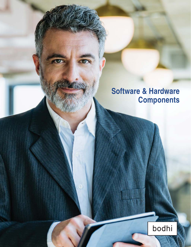# **Software & Hardware Components**

 $\odot$ 

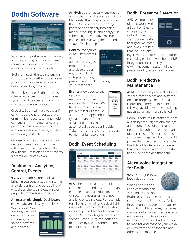## Bodhi Software



Intuitive, comprehensive monitoring and control of guest rooms, meeting rooms, restaurants and common areas will be yours with Bodhi.

Bodhi brings all the technology on your property together under a single interface so simple anyone can begin using it right away.

Extremely secure, Bodhi provides role-based access to rooms, areas, systems and devices, and all communications are encrypted.

Crucially, Bodhi will help you significantly reduce energy costs, avoid or minimize flood, water, and mold damage, shrink maintenance and personnel costs, improve security, and lower insurance rates, all while improving guest satisfaction.

Choose only the software components you need and match them with low-cost hardware from Bodhi or with the Crestron or other control systems you already own.

#### Dashboard, Analytics, Control, Events

**#DACE** is Bodhi's core application, bringing you centralized monitoring, analysis, control, and scheduling of virtually all the technology on your property from a single interface.

#### **An extremely simple Dashboard**

(shown above) allows you to look at

your property as a whole, then drill down to individual areas, rooms, scenes, systems and devices.



**Analytics** automatically logs device and system use plus alerts and trouble tickets, then graphically displays them. A customizable reporting package dives deeply into performance, tracking life and energy use, scheduling preventative maintenance, and reviewing the use and value of each component.

**Control** configures or adjusts systems and devices as appropriate. Adjust temperature, open and close draperies, turn on lights or trigger lighting



presets (and much more) right from your Dashboard.

**Events** allows you to set up alerts then automatically send them to appropriate staff via SMS texts or email. For example, alert security should a door be left open; notify maintenance if there's a leak or flood. Events

automatically sets up a Trouble Ticket from any alert, making it easy to monitor its resolution.

#### Bodhi Event Scheduling

| <b>March 2021</b>         |                              |                           |                     |                            | * International    | <b>Side of</b><br>٠ |
|---------------------------|------------------------------|---------------------------|---------------------|----------------------------|--------------------|---------------------|
| <b>MF#P</b>               | --                           | <b>MON-01</b>             | <b>Tue</b> 46       | <b>MOLD</b>                | 1065 64            | <b>FW-95</b>        |
| 675am                     | <b>Affair</b>                | Arthur.                   | 655am               | 6/Set                      | situal             | <b>Affan</b>        |
| Marking                   | Morning                      | hAprocing                 | Monting             | Morning                    | Morning            | Marking             |
| <b>traum</b>              | <b>112am</b>                 | <b>Stige</b>              | <b>Trius</b>        | <b>Fiftun</b>              | <b>Hitlam</b>      | testan              |
| Start of Day              | Start of Day                 | Start of Day              | <b>Start of Day</b> | Start of Day               | Linch              | Lunch               |
| <b>Hiller</b>             | 1915-4                       | <b>Skidwa</b>             | <b>Hitler</b>       | <b>Hilder</b>              | 1.15 <sub>nm</sub> | 3.25 <sub>nm</sub>  |
| Luses                     | Linch                        | Luxen                     | Luxen               | <b>Luxeli</b>              | Catanika Time      | Cafenba Time        |
| 5.2 Sept.                 | 3.25pm                       | 3.25nm                    | $3.2$ during        | 3.2 Kurs                   | 5.25pm             | 5.25pm              |
| Caterine Time             | Calerin Time                 | <b>Calvelia Time</b>      | Calendar Time       | Calerin Time               | Exercise           | Eureless            |
| <b>Billion</b>            | 0.25mm                       | 5.05pm                    | <b>9.24pm</b>       | <b>3.26pm</b>              | <b>B-45uni</b>     | <b>B-45pm</b>       |
| Evening                   | Evening                      | Evening                   | Evening             | Evening                    | Generated          | Grandmisster        |
| <b>Exten</b><br>Condright | <b>Sollars</b><br>Geodelight | <b>SASAN</b><br>Gendeland | \$45mm<br>Goodnight | <b>BATure</b><br>Goodnight | 4 Integrated       | 4 Scheen Inc.       |
| de Schedurg (ed)          | at Schedule Int.             | A. Schedule on            | de Bellevicio est.  | di Schedule 20             |                    |                     |

**#ES.** The Bodhi Event Scheduler combines a calendar with a job panel to create and schedule one-time or recurring events using almost any kind of technology. For example, turn lights on or off and select lighting levels. Combine multiple fixtures into groups and schedule them together. Set up or trigger presets and scenes. Schedule by the hour and minute or by the astronomical times of sunrise and sunset.

## Bodhi Presence Detection

**#PD.** A simple module that works with a Bodhi or Crestron occupancy sensor or Bodhi Thermostat to allow Bodhi to trigger 'welcome,' and 'away' presets that include light-



ing, climate, audio, video and other technologies. Used with Bodhi PMS Integration, it can alert your property management system of the presence of guests in each room.

#### Bodhi Predictive Maintenance

**#PM.** Predict the potential failure of various components and systems on your property, then send alerts requesting timely maintenance. In this way, avoid downtime and keep guests safer and more satisfied.

Bodhi Predictive Maintenance does all this by tracking not only the age and hours of use of each component but its adherence to its manufacturer's specifications. Should a component begin to draw more AC power than specified, for example, Predictive Maintenance can detect that and send an alert to your staff to service or replace that item.

#### Alexa Voice Integration for Bodhi

**#AVI.** Your guests will love voice control.

When used with an Echo-compatible device and a Crestron,



Bodhi, or compatible third-party control system, Bodhi Alexa Voice Integration gives guests the ability to control lights, shades, draperies, climate and entertainment systems with simple, intuitive voice commands. In addition, it will allow you to monitor and manage your Alexa devices from the dashboard and other Bodhi modules.

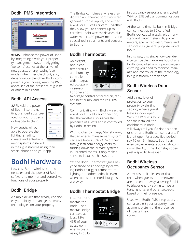### Bodhi PMS Integration



**#PMS.** Enhance the power of Bodhi by integrating it with your property management system, triggering 'welcome' scenes at the arrival of new guests, energy-saving 'eco' modes when they check out, and, depending on the other Bodhi components you choose, keep the PMS appraised of the presence of guests or others in a room.

## Bodhi API Access

**#API.** Add the power of Bodhi into the native, branded apps created for your property or hospitality chain.

Now guests will be able to operate the lighting, shading, climate and entertainment systems installed

in their guestrooms using their smart phones and your app!

## Bodhi Hardware

Low-cost Bodhi wireless components extend the power of Bodhi software to monitor and control key functions of your property.

## Bodhi Bridge

A simple device that greatly enhances your ability to manage the many technologies on your property.



The Bridge combines a wireless radio with an Ethernet port, two wired general purpose inputs, and either a Wi-Fi or LTE cellular card. Together they allow you to connect up to 32 certified Bodhi wireless devices plus water meters, AC power meters, and specialized instruments and sensors to Bodhi.

### Bodhi Thermostat

An elegant, one-piece temperature and humidity controller with integrated occupancy sensor. For one- and



two-stage control of forced air, radiant, heat pump, and fan coil HVAC systems.

Communicating with Bodhi via either a Wi-Fi or LTE cellular connection, the Thermostat also signals the presence of guests and is controlled by Bodhi in return.

With studies by Energy Star showing that an energy management system can save hotels 35% - 45% of their total guestroom energy costs by turning down the climate systems in unrented rooms, it only makes sense to install such a system.

Yet the Bodhi Thermostat goes beyond those basic savings by allowing Bodhi to trigger temperature, lighting, and other setbacks even when rooms are rented, but guests are away.

## Bodhi Thermostat Bridge

Like the Thermostat, the Bodhi Thermostat Bridge can save at least 35% - 45% of your guestroom energy costs using its built-



in occupancy sensor and encrypted Wi-Fi or LTE cellular communications with Bodhi.

At the same time, its built-in Bridge can connect up to 32 certified Bodhi devices wirelessly, plus many standard water meters, AC power meters, specialized instruments and sensors via a general purpose wired input.

In this way, this single, low-cost device can be the hardware hub of any Bodhi-controlled room, providing everything you need to monitor, manage and control all of the technology in a guestroom or residence.

#### Bodhi Wireless Door Sensor

Add a new level of protection to your property by alerting security when a guest leaves a door open. With the Wireless Door Sensor installed, the dashboard in Bodhi



will always tell you if a door is open or shut, and Bodhi can send alerts if it's left open for a specified period, say 10 or 15 minutes. Bodhi can even trigger events, such as shutting down the AC, if the door stays open past a specific timespan.

#### Bodhi Wireless Occupancy Sensor

A low-cost, reliable sensor that detects when guests or homeowners are present or away, allowing Bodhi to trigger energy-saving temperature, lighting, and other setbacks based on their presence.

Used with Bodhi PMS Integration, it can also alert your property management system of the presence of guests in each room.